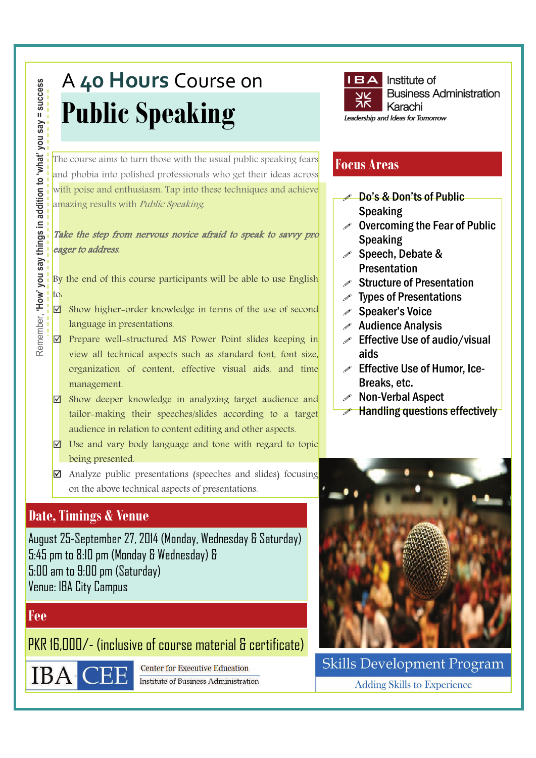# A **40 Hours** Course on **Public Speaking**

The course aims to turn those with the usual public speaking fears and phobia into polished professionals who get their ideas across with poise and enthusiasm. Tap into these techniques and achieve amazing results with *Public Speaking*.

#### Take the step from nervous novice afraid to speak to savvy pro eager to address.

By the end of this course participants will be able to use English to:

- $\boxtimes$  Show higher-order knowledge in terms of the use of second language in presentations.
- $\boxtimes$  Prepare well-structured MS Power Point slides keeping in view all technical aspects such as standard font, font size, organization of content, effective visual aids, and time management.
- $\boxtimes$  Show deeper knowledge in analyzing target audience and tailor-making their speeches/slides according to a target audience in relation to content editing and other aspects.
- $\boxtimes$  Use and vary body language and tone with regard to topic being presented.
- Analyze public presentations (speeches and slides) focusing on the above technical aspects of presentations.

# **Date, Timings & Venue**

August 25-September 27, 2014 (Monday, Wednesday & Saturday) 5:45 pm to 8:10 pm (Monday & Wednesday) & 5:00 am to 9:00 pm (Saturday) Venue: IBA City Campus

# **Fee**

PKR 16,000/- (inclusive of course material & certificate)



**Center for Executive Education Institute of Business Administration** 



# **Focus Areas**

- Do's & Don'ts of Public Speaking
- $\mathscr S$  Overcoming the Fear of Public Speaking
- $\mathscr S$  Speech, Debate & Presentation
- $\mathscr S$  Structure of Presentation
- $\mathscr S$  Types of Presentations
- Speaker's Voice
- $\mathscr X$  Audience Analysis
- $\mathscr S$  Effective Use of audio/visual aids
- $\mathscr S$  Effective Use of Humor, Ice-Breaks, etc.
- Non-Verbal Aspect
- $\gg$  Handling questions effectively



**Skills Development Program Adding Skills to Experience**